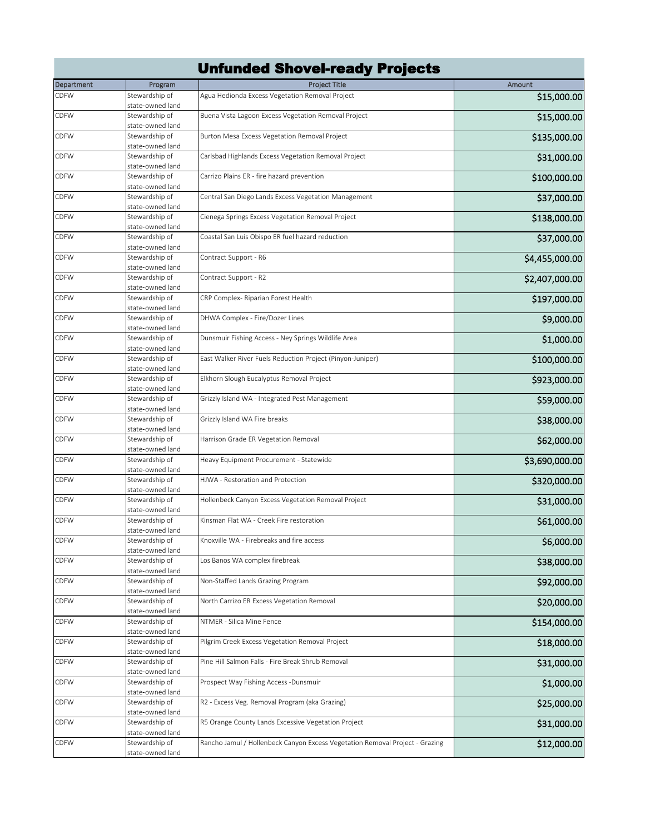## Unfunded Shovel-ready Projects

| Department | Program                            | <b>Project Title</b>                                                         | Amount         |
|------------|------------------------------------|------------------------------------------------------------------------------|----------------|
| CDFW       | Stewardship of<br>state-owned land | Agua Hedionda Excess Vegetation Removal Project                              | \$15,000.00    |
| CDFW       | Stewardship of<br>state-owned land | Buena Vista Lagoon Excess Vegetation Removal Project                         | \$15,000.00    |
| CDFW       | Stewardship of<br>state-owned land | Burton Mesa Excess Vegetation Removal Project                                | \$135,000.00   |
| CDFW       | Stewardship of                     | Carlsbad Highlands Excess Vegetation Removal Project                         | \$31,000.00    |
|            | state-owned land                   |                                                                              |                |
| CDFW       | Stewardship of<br>state-owned land | Carrizo Plains ER - fire hazard prevention                                   | \$100,000.00   |
| CDFW       | Stewardship of<br>state-owned land | Central San Diego Lands Excess Vegetation Management                         | \$37,000.00    |
| CDFW       | Stewardship of<br>state-owned land | Cienega Springs Excess Vegetation Removal Project                            | \$138,000.00   |
|            |                                    |                                                                              |                |
| CDFW       | Stewardship of<br>state-owned land | Coastal San Luis Obispo ER fuel hazard reduction                             | \$37,000.00    |
| CDFW       | Stewardship of<br>state-owned land | Contract Support - R6                                                        | \$4,455,000.00 |
| CDFW       | Stewardship of<br>state-owned land | Contract Support - R2                                                        | \$2,407,000.00 |
| CDFW       | Stewardship of                     | CRP Complex- Riparian Forest Health                                          |                |
|            | state-owned land                   |                                                                              | \$197,000.00   |
| CDFW       | Stewardship of<br>state-owned land | DHWA Complex - Fire/Dozer Lines                                              | \$9,000.00     |
| CDFW       | Stewardship of                     | Dunsmuir Fishing Access - Ney Springs Wildlife Area                          | \$1,000.00     |
|            | state-owned land                   |                                                                              |                |
| CDFW       | Stewardship of<br>state-owned land | East Walker River Fuels Reduction Project (Pinyon-Juniper)                   | \$100,000.00   |
| CDFW       | Stewardship of                     | Elkhorn Slough Eucalyptus Removal Project                                    | \$923,000.00   |
|            | state-owned land                   |                                                                              |                |
| CDFW       | Stewardship of<br>state-owned land | Grizzly Island WA - Integrated Pest Management                               | \$59,000.00    |
| CDFW       | Stewardship of                     | Grizzly Island WA Fire breaks                                                | \$38,000.00    |
|            | state-owned land                   |                                                                              |                |
| CDFW       | Stewardship of<br>state-owned land | Harrison Grade ER Vegetation Removal                                         | \$62,000.00    |
| CDFW       | Stewardship of                     | Heavy Equipment Procurement - Statewide                                      | \$3,690,000.00 |
|            | state-owned land                   |                                                                              |                |
| CDFW       | Stewardship of<br>state-owned land | HJWA - Restoration and Protection                                            | \$320,000.00   |
| CDFW       | Stewardship of                     |                                                                              |                |
|            | state-owned land                   | Hollenbeck Canyon Excess Vegetation Removal Project                          | \$31,000.00    |
| CDFW       | Stewardship of<br>state-owned land | Kinsman Flat WA - Creek Fire restoration                                     | \$61,000.00    |
| CDFW       |                                    | Knoxville WA - Firebreaks and fire access                                    |                |
|            | Stewardship of<br>state-owned land |                                                                              | \$6,000.00     |
| CDFW       | Stewardship of<br>state-owned land | Los Banos WA complex firebreak                                               | \$38,000.00    |
| CDFW       | Stewardship of                     | Non-Staffed Lands Grazing Program                                            | \$92,000.00    |
|            | state-owned land                   |                                                                              |                |
| CDFW       | Stewardship of<br>state-owned land | North Carrizo ER Excess Vegetation Removal                                   | \$20,000.00    |
| CDFW       | Stewardship of                     | NTMER - Silica Mine Fence                                                    | \$154,000.00   |
| CDFW       | state-owned land<br>Stewardship of | Pilgrim Creek Excess Vegetation Removal Project                              |                |
|            | state-owned land                   |                                                                              | \$18,000.00    |
| CDFW       | Stewardship of                     | Pine Hill Salmon Falls - Fire Break Shrub Removal                            | \$31,000.00    |
|            | state-owned land                   |                                                                              |                |
| CDFW       | Stewardship of                     | Prospect Way Fishing Access -Dunsmuir                                        | \$1,000.00     |
| CDFW       | state-owned land<br>Stewardship of | R2 - Excess Veg. Removal Program (aka Grazing)                               |                |
|            | state-owned land                   |                                                                              | \$25,000.00    |
| CDFW       | Stewardship of                     | R5 Orange County Lands Excessive Vegetation Project                          | \$31,000.00    |
| CDFW       | state-owned land<br>Stewardship of | Rancho Jamul / Hollenbeck Canyon Excess Vegetation Removal Project - Grazing | \$12,000.00    |
|            | state-owned land                   |                                                                              |                |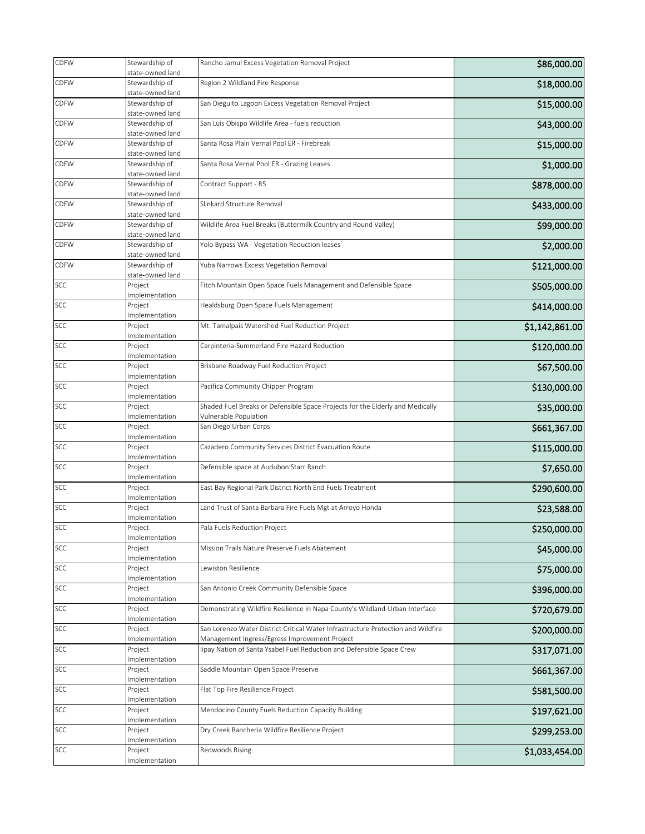| CDFW | Stewardship of<br>state-owned land | Rancho Jamul Excess Vegetation Removal Project                                                                         | \$86,000.00    |
|------|------------------------------------|------------------------------------------------------------------------------------------------------------------------|----------------|
| CDFW | Stewardship of<br>state-owned land | Region 2 Wildland Fire Response                                                                                        | \$18,000.00    |
| CDFW | Stewardship of<br>state-owned land | San Dieguito Lagoon Excess Vegetation Removal Project                                                                  | \$15,000.00    |
| CDFW | Stewardship of<br>state-owned land | San Luis Obispo Wildlife Area - fuels reduction                                                                        | \$43,000.00    |
| CDFW | Stewardship of                     | Santa Rosa Plain Vernal Pool ER - Firebreak                                                                            | \$15,000.00    |
| CDFW | state-owned land<br>Stewardship of | Santa Rosa Vernal Pool ER - Grazing Leases                                                                             | \$1,000.00     |
| CDFW | state-owned land<br>Stewardship of | Contract Support - R5                                                                                                  | \$878,000.00   |
| CDFW | state-owned land<br>Stewardship of | Slinkard Structure Removal                                                                                             | \$433,000.00   |
| CDFW | state-owned land<br>Stewardship of | Wildlife Area Fuel Breaks (Buttermilk Country and Round Valley)                                                        | \$99,000.00    |
| CDFW | state-owned land<br>Stewardship of | Yolo Bypass WA - Vegetation Reduction leases                                                                           | \$2,000.00     |
| CDFW | state-owned land<br>Stewardship of | Yuba Narrows Excess Vegetation Removal                                                                                 | \$121,000.00   |
|      | state-owned land                   |                                                                                                                        |                |
| SCC  | Project<br>Implementation          | Fitch Mountain Open Space Fuels Management and Defensible Space                                                        | \$505,000.00   |
| SCC  | Project<br>Implementation          | Healdsburg Open Space Fuels Management                                                                                 | \$414,000.00   |
| SCC  | Project<br>Implementation          | Mt. Tamalpais Watershed Fuel Reduction Project                                                                         | \$1,142,861.00 |
| SCC  | Project<br>Implementation          | Carpinteria-Summerland Fire Hazard Reduction                                                                           | \$120,000.00   |
| SCC  | Project                            | Brisbane Roadway Fuel Reduction Project                                                                                | \$67,500.00    |
| SCC  | Implementation<br>Project          | Pacifica Community Chipper Program                                                                                     | \$130,000.00   |
| SCC  | Implementation<br>Project          | Shaded Fuel Breaks or Defensible Space Projects for the Elderly and Medically                                          | \$35,000.00    |
| SCC  | Implementation<br>Project          | Vulnerable Population<br>San Diego Urban Corps                                                                         | \$661,367.00   |
| SCC  | Implementation<br>Project          | Cazadero Community Services District Evacuation Route                                                                  | \$115,000.00   |
| SCC  | Implementation<br>Project          | Defensible space at Audubon Starr Ranch                                                                                | \$7,650.00     |
| SCC  | Implementation<br>Project          | East Bay Regional Park District North End Fuels Treatment                                                              | \$290,600.00   |
| SCC  | Implementation                     | Land Trust of Santa Barbara Fire Fuels Mgt at Arroyo Honda                                                             |                |
|      | Project<br>Implementation          |                                                                                                                        | \$23,588.00    |
| SCC  | Project<br>Implementation          | Pala Fuels Reduction Project                                                                                           | \$250,000.00   |
| SCC  | Project<br>Implementation          | Mission Trails Nature Preserve Fuels Abatement                                                                         | \$45,000.00    |
| SCC  | Project<br>Implementation          | Lewiston Resilience                                                                                                    | \$75,000.00    |
| SCC  | Project                            | San Antonio Creek Community Defensible Space                                                                           | \$396,000.00   |
| SCC  | Implementation<br>Project          | Demonstrating Wildfire Resilience in Napa County's Wildland-Urban Interface                                            | \$720,679.00   |
| SCC  | Implementation<br>Project          | San Lorenzo Water District Critical Water Infrastructure Protection and Wildfire                                       | \$200,000.00   |
| SCC  | Implementation<br>Project          | Management Ingress/Egress Improvement Project<br>lipay Nation of Santa Ysabel Fuel Reduction and Defensible Space Crew | \$317,071.00   |
| SCC  | Implementation<br>Project          | Saddle Mountain Open Space Preserve                                                                                    | \$661,367.00   |
| SCC  | Implementation<br>Project          | Flat Top Fire Resilience Project                                                                                       |                |
|      | Implementation                     |                                                                                                                        | \$581,500.00   |
| SCC  | Project<br>Implementation          | Mendocino County Fuels Reduction Capacity Building                                                                     | \$197,621.00   |
| SCC  | Project<br>Implementation          | Dry Creek Rancheria Wildfire Resilience Project                                                                        | \$299,253.00   |
| SCC  | Project<br>Implementation          | Redwoods Rising                                                                                                        | \$1,033,454.00 |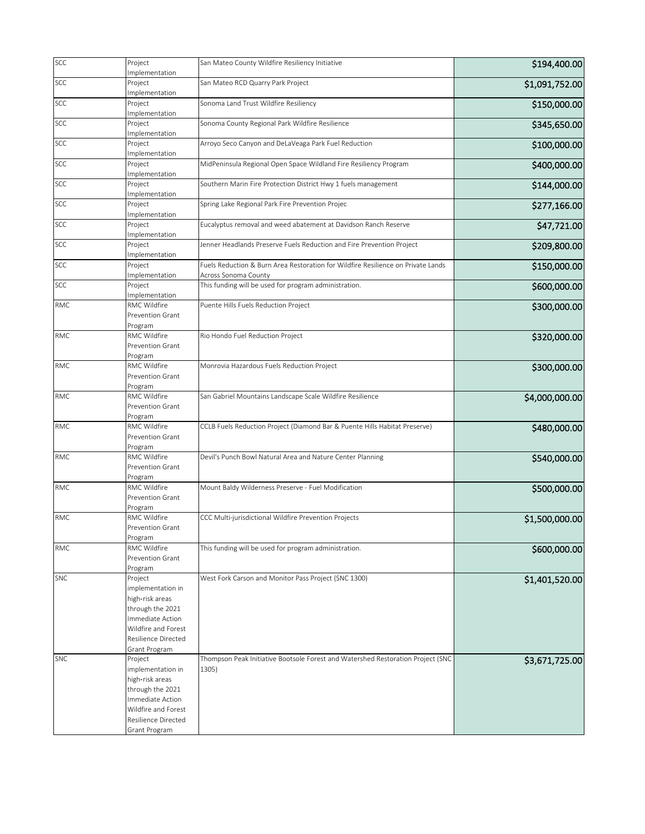| <b>SCC</b> | Project<br>Implementation                                                                                                                              | San Mateo County Wildfire Resiliency Initiative                                          | \$194,400.00   |
|------------|--------------------------------------------------------------------------------------------------------------------------------------------------------|------------------------------------------------------------------------------------------|----------------|
| SCC        | Project<br>Implementation                                                                                                                              | San Mateo RCD Quarry Park Project                                                        | \$1,091,752.00 |
| SCC        | Project<br>Implementation                                                                                                                              | Sonoma Land Trust Wildfire Resiliency                                                    | \$150,000.00   |
| SCC        | Project<br>Implementation                                                                                                                              | Sonoma County Regional Park Wildfire Resilience                                          | \$345,650.00   |
| SCC        | Project<br>Implementation                                                                                                                              | Arroyo Seco Canyon and DeLaVeaga Park Fuel Reduction                                     | \$100,000.00   |
| SCC        | Project<br>Implementation                                                                                                                              | MidPeninsula Regional Open Space Wildland Fire Resiliency Program                        | \$400,000.00   |
| SCC        | Project<br>Implementation                                                                                                                              | Southern Marin Fire Protection District Hwy 1 fuels management                           | \$144,000.00   |
| SCC        | Project<br>Implementation                                                                                                                              | Spring Lake Regional Park Fire Prevention Projec                                         | \$277,166.00   |
| SCC        | Project<br>Implementation                                                                                                                              | Eucalyptus removal and weed abatement at Davidson Ranch Reserve                          | \$47,721.00    |
| SCC        | Project<br>Implementation                                                                                                                              | Jenner Headlands Preserve Fuels Reduction and Fire Prevention Project                    | \$209,800.00   |
| SCC        | Project                                                                                                                                                | Fuels Reduction & Burn Area Restoration for Wildfire Resilience on Private Lands         | \$150,000.00   |
| SCC        | Implementation<br>Project                                                                                                                              | Across Sonoma County<br>This funding will be used for program administration.            | \$600,000.00   |
| <b>RMC</b> | Implementation<br>RMC Wildfire<br>Prevention Grant                                                                                                     | Puente Hills Fuels Reduction Project                                                     | \$300,000.00   |
| <b>RMC</b> | Program<br>RMC Wildfire<br>Prevention Grant                                                                                                            | Rio Hondo Fuel Reduction Project                                                         | \$320,000.00   |
| <b>RMC</b> | Program<br>RMC Wildfire<br>Prevention Grant<br>Program                                                                                                 | Monrovia Hazardous Fuels Reduction Project                                               | \$300,000.00   |
| <b>RMC</b> | RMC Wildfire<br>Prevention Grant<br>Program                                                                                                            | San Gabriel Mountains Landscape Scale Wildfire Resilience                                | \$4,000,000.00 |
| <b>RMC</b> | RMC Wildfire<br>Prevention Grant<br>Program                                                                                                            | CCLB Fuels Reduction Project (Diamond Bar & Puente Hills Habitat Preserve)               | \$480,000.00   |
| <b>RMC</b> | RMC Wildfire<br>Prevention Grant<br>Program                                                                                                            | Devil's Punch Bowl Natural Area and Nature Center Planning                               | \$540,000.00   |
| <b>RMC</b> | RMC Wildfire<br>Prevention Grant<br>Program                                                                                                            | Mount Baldy Wilderness Preserve - Fuel Modification                                      | \$500,000.00   |
| <b>RMC</b> | RMC Wildfire<br>Prevention Grant<br>Program                                                                                                            | CCC Multi-jurisdictional Wildfire Prevention Projects                                    | \$1,500,000.00 |
| <b>RMC</b> | RMC Wildfire<br>Prevention Grant<br>Program                                                                                                            | This funding will be used for program administration.                                    | \$600,000.00   |
| <b>SNC</b> | Project<br>implementation in<br>high-risk areas<br>through the 2021<br>Immediate Action<br>Wildfire and Forest<br>Resilience Directed<br>Grant Program | West Fork Carson and Monitor Pass Project (SNC 1300)                                     | \$1,401,520.00 |
| SNC        | Project<br>implementation in<br>high-risk areas<br>through the 2021<br>Immediate Action<br>Wildfire and Forest<br>Resilience Directed<br>Grant Program | Thompson Peak Initiative Bootsole Forest and Watershed Restoration Project (SNC<br>1305) | \$3,671,725.00 |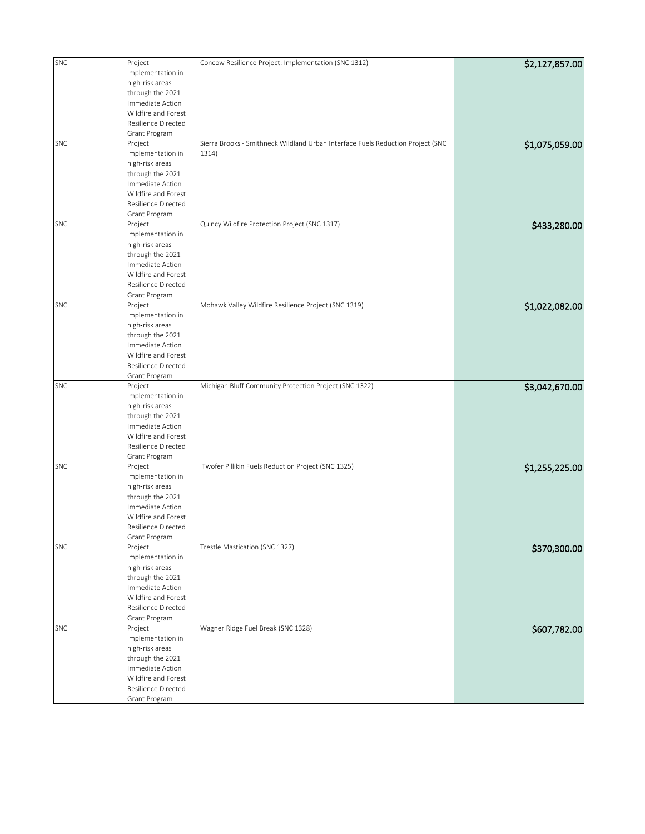| implementation in<br>high-risk areas<br>through the 2021<br>Immediate Action<br>Wildfire and Forest<br>Resilience Directed<br>Grant Program<br>SNC<br>Sierra Brooks - Smithneck Wildland Urban Interface Fuels Reduction Project (SNC<br>\$1,075,059.00<br>Project<br>implementation in<br>1314)<br>high-risk areas<br>through the 2021<br>Immediate Action<br>Wildfire and Forest<br>Resilience Directed<br>Grant Program<br>Quincy Wildfire Protection Project (SNC 1317)<br><b>SNC</b><br>Project<br>\$433,280.00<br>implementation in<br>high-risk areas<br>through the 2021<br>Immediate Action<br>Wildfire and Forest<br>Resilience Directed<br>Grant Program<br>Mohawk Valley Wildfire Resilience Project (SNC 1319)<br>\$1,022,082.00<br>Project<br>implementation in<br>high-risk areas<br>through the 2021<br>Immediate Action<br>Wildfire and Forest<br>Resilience Directed<br>Grant Program<br><b>SNC</b><br>Michigan Bluff Community Protection Project (SNC 1322)<br>\$3,042,670.00<br>Project<br>implementation in<br>high-risk areas<br>through the 2021<br>Immediate Action<br>Wildfire and Forest<br>Resilience Directed<br>Grant Program<br><b>SNC</b><br>Twofer Pillikin Fuels Reduction Project (SNC 1325)<br>Project<br>\$1,255,225.00<br>implementation in<br>high-risk areas<br>through the 2021<br>Immediate Action<br>Wildfire and Forest<br>Resilience Directed<br>Grant Program<br>Trestle Mastication (SNC 1327)<br>Project<br>\$370,300.00<br>implementation in<br>high-risk areas<br>through the 2021<br>Immediate Action<br>Wildfire and Forest<br>Resilience Directed<br>Grant Program<br><b>SNC</b><br>Wagner Ridge Fuel Break (SNC 1328)<br>\$607,782.00<br>Project<br>implementation in<br>high-risk areas<br>through the 2021<br>Immediate Action<br>Wildfire and Forest<br>Resilience Directed<br>Grant Program |            |         |                                                      |                |
|-------------------------------------------------------------------------------------------------------------------------------------------------------------------------------------------------------------------------------------------------------------------------------------------------------------------------------------------------------------------------------------------------------------------------------------------------------------------------------------------------------------------------------------------------------------------------------------------------------------------------------------------------------------------------------------------------------------------------------------------------------------------------------------------------------------------------------------------------------------------------------------------------------------------------------------------------------------------------------------------------------------------------------------------------------------------------------------------------------------------------------------------------------------------------------------------------------------------------------------------------------------------------------------------------------------------------------------------------------------------------------------------------------------------------------------------------------------------------------------------------------------------------------------------------------------------------------------------------------------------------------------------------------------------------------------------------------------------------------------------------------------------------------------------------------------------------------------------------------|------------|---------|------------------------------------------------------|----------------|
|                                                                                                                                                                                                                                                                                                                                                                                                                                                                                                                                                                                                                                                                                                                                                                                                                                                                                                                                                                                                                                                                                                                                                                                                                                                                                                                                                                                                                                                                                                                                                                                                                                                                                                                                                                                                                                                       | <b>SNC</b> | Project | Concow Resilience Project: Implementation (SNC 1312) | \$2,127,857.00 |
|                                                                                                                                                                                                                                                                                                                                                                                                                                                                                                                                                                                                                                                                                                                                                                                                                                                                                                                                                                                                                                                                                                                                                                                                                                                                                                                                                                                                                                                                                                                                                                                                                                                                                                                                                                                                                                                       |            |         |                                                      |                |
|                                                                                                                                                                                                                                                                                                                                                                                                                                                                                                                                                                                                                                                                                                                                                                                                                                                                                                                                                                                                                                                                                                                                                                                                                                                                                                                                                                                                                                                                                                                                                                                                                                                                                                                                                                                                                                                       |            |         |                                                      |                |
|                                                                                                                                                                                                                                                                                                                                                                                                                                                                                                                                                                                                                                                                                                                                                                                                                                                                                                                                                                                                                                                                                                                                                                                                                                                                                                                                                                                                                                                                                                                                                                                                                                                                                                                                                                                                                                                       |            |         |                                                      |                |
|                                                                                                                                                                                                                                                                                                                                                                                                                                                                                                                                                                                                                                                                                                                                                                                                                                                                                                                                                                                                                                                                                                                                                                                                                                                                                                                                                                                                                                                                                                                                                                                                                                                                                                                                                                                                                                                       |            |         |                                                      |                |
|                                                                                                                                                                                                                                                                                                                                                                                                                                                                                                                                                                                                                                                                                                                                                                                                                                                                                                                                                                                                                                                                                                                                                                                                                                                                                                                                                                                                                                                                                                                                                                                                                                                                                                                                                                                                                                                       |            |         |                                                      |                |
|                                                                                                                                                                                                                                                                                                                                                                                                                                                                                                                                                                                                                                                                                                                                                                                                                                                                                                                                                                                                                                                                                                                                                                                                                                                                                                                                                                                                                                                                                                                                                                                                                                                                                                                                                                                                                                                       |            |         |                                                      |                |
|                                                                                                                                                                                                                                                                                                                                                                                                                                                                                                                                                                                                                                                                                                                                                                                                                                                                                                                                                                                                                                                                                                                                                                                                                                                                                                                                                                                                                                                                                                                                                                                                                                                                                                                                                                                                                                                       |            |         |                                                      |                |
|                                                                                                                                                                                                                                                                                                                                                                                                                                                                                                                                                                                                                                                                                                                                                                                                                                                                                                                                                                                                                                                                                                                                                                                                                                                                                                                                                                                                                                                                                                                                                                                                                                                                                                                                                                                                                                                       |            |         |                                                      |                |
|                                                                                                                                                                                                                                                                                                                                                                                                                                                                                                                                                                                                                                                                                                                                                                                                                                                                                                                                                                                                                                                                                                                                                                                                                                                                                                                                                                                                                                                                                                                                                                                                                                                                                                                                                                                                                                                       |            |         |                                                      |                |
|                                                                                                                                                                                                                                                                                                                                                                                                                                                                                                                                                                                                                                                                                                                                                                                                                                                                                                                                                                                                                                                                                                                                                                                                                                                                                                                                                                                                                                                                                                                                                                                                                                                                                                                                                                                                                                                       |            |         |                                                      |                |
|                                                                                                                                                                                                                                                                                                                                                                                                                                                                                                                                                                                                                                                                                                                                                                                                                                                                                                                                                                                                                                                                                                                                                                                                                                                                                                                                                                                                                                                                                                                                                                                                                                                                                                                                                                                                                                                       |            |         |                                                      |                |
|                                                                                                                                                                                                                                                                                                                                                                                                                                                                                                                                                                                                                                                                                                                                                                                                                                                                                                                                                                                                                                                                                                                                                                                                                                                                                                                                                                                                                                                                                                                                                                                                                                                                                                                                                                                                                                                       |            |         |                                                      |                |
|                                                                                                                                                                                                                                                                                                                                                                                                                                                                                                                                                                                                                                                                                                                                                                                                                                                                                                                                                                                                                                                                                                                                                                                                                                                                                                                                                                                                                                                                                                                                                                                                                                                                                                                                                                                                                                                       |            |         |                                                      |                |
|                                                                                                                                                                                                                                                                                                                                                                                                                                                                                                                                                                                                                                                                                                                                                                                                                                                                                                                                                                                                                                                                                                                                                                                                                                                                                                                                                                                                                                                                                                                                                                                                                                                                                                                                                                                                                                                       |            |         |                                                      |                |
|                                                                                                                                                                                                                                                                                                                                                                                                                                                                                                                                                                                                                                                                                                                                                                                                                                                                                                                                                                                                                                                                                                                                                                                                                                                                                                                                                                                                                                                                                                                                                                                                                                                                                                                                                                                                                                                       |            |         |                                                      |                |
|                                                                                                                                                                                                                                                                                                                                                                                                                                                                                                                                                                                                                                                                                                                                                                                                                                                                                                                                                                                                                                                                                                                                                                                                                                                                                                                                                                                                                                                                                                                                                                                                                                                                                                                                                                                                                                                       |            |         |                                                      |                |
|                                                                                                                                                                                                                                                                                                                                                                                                                                                                                                                                                                                                                                                                                                                                                                                                                                                                                                                                                                                                                                                                                                                                                                                                                                                                                                                                                                                                                                                                                                                                                                                                                                                                                                                                                                                                                                                       |            |         |                                                      |                |
|                                                                                                                                                                                                                                                                                                                                                                                                                                                                                                                                                                                                                                                                                                                                                                                                                                                                                                                                                                                                                                                                                                                                                                                                                                                                                                                                                                                                                                                                                                                                                                                                                                                                                                                                                                                                                                                       |            |         |                                                      |                |
|                                                                                                                                                                                                                                                                                                                                                                                                                                                                                                                                                                                                                                                                                                                                                                                                                                                                                                                                                                                                                                                                                                                                                                                                                                                                                                                                                                                                                                                                                                                                                                                                                                                                                                                                                                                                                                                       |            |         |                                                      |                |
|                                                                                                                                                                                                                                                                                                                                                                                                                                                                                                                                                                                                                                                                                                                                                                                                                                                                                                                                                                                                                                                                                                                                                                                                                                                                                                                                                                                                                                                                                                                                                                                                                                                                                                                                                                                                                                                       |            |         |                                                      |                |
|                                                                                                                                                                                                                                                                                                                                                                                                                                                                                                                                                                                                                                                                                                                                                                                                                                                                                                                                                                                                                                                                                                                                                                                                                                                                                                                                                                                                                                                                                                                                                                                                                                                                                                                                                                                                                                                       |            |         |                                                      |                |
|                                                                                                                                                                                                                                                                                                                                                                                                                                                                                                                                                                                                                                                                                                                                                                                                                                                                                                                                                                                                                                                                                                                                                                                                                                                                                                                                                                                                                                                                                                                                                                                                                                                                                                                                                                                                                                                       |            |         |                                                      |                |
|                                                                                                                                                                                                                                                                                                                                                                                                                                                                                                                                                                                                                                                                                                                                                                                                                                                                                                                                                                                                                                                                                                                                                                                                                                                                                                                                                                                                                                                                                                                                                                                                                                                                                                                                                                                                                                                       |            |         |                                                      |                |
|                                                                                                                                                                                                                                                                                                                                                                                                                                                                                                                                                                                                                                                                                                                                                                                                                                                                                                                                                                                                                                                                                                                                                                                                                                                                                                                                                                                                                                                                                                                                                                                                                                                                                                                                                                                                                                                       |            |         |                                                      |                |
|                                                                                                                                                                                                                                                                                                                                                                                                                                                                                                                                                                                                                                                                                                                                                                                                                                                                                                                                                                                                                                                                                                                                                                                                                                                                                                                                                                                                                                                                                                                                                                                                                                                                                                                                                                                                                                                       |            |         |                                                      |                |
|                                                                                                                                                                                                                                                                                                                                                                                                                                                                                                                                                                                                                                                                                                                                                                                                                                                                                                                                                                                                                                                                                                                                                                                                                                                                                                                                                                                                                                                                                                                                                                                                                                                                                                                                                                                                                                                       | <b>SNC</b> |         |                                                      |                |
|                                                                                                                                                                                                                                                                                                                                                                                                                                                                                                                                                                                                                                                                                                                                                                                                                                                                                                                                                                                                                                                                                                                                                                                                                                                                                                                                                                                                                                                                                                                                                                                                                                                                                                                                                                                                                                                       |            |         |                                                      |                |
|                                                                                                                                                                                                                                                                                                                                                                                                                                                                                                                                                                                                                                                                                                                                                                                                                                                                                                                                                                                                                                                                                                                                                                                                                                                                                                                                                                                                                                                                                                                                                                                                                                                                                                                                                                                                                                                       |            |         |                                                      |                |
|                                                                                                                                                                                                                                                                                                                                                                                                                                                                                                                                                                                                                                                                                                                                                                                                                                                                                                                                                                                                                                                                                                                                                                                                                                                                                                                                                                                                                                                                                                                                                                                                                                                                                                                                                                                                                                                       |            |         |                                                      |                |
|                                                                                                                                                                                                                                                                                                                                                                                                                                                                                                                                                                                                                                                                                                                                                                                                                                                                                                                                                                                                                                                                                                                                                                                                                                                                                                                                                                                                                                                                                                                                                                                                                                                                                                                                                                                                                                                       |            |         |                                                      |                |
|                                                                                                                                                                                                                                                                                                                                                                                                                                                                                                                                                                                                                                                                                                                                                                                                                                                                                                                                                                                                                                                                                                                                                                                                                                                                                                                                                                                                                                                                                                                                                                                                                                                                                                                                                                                                                                                       |            |         |                                                      |                |
|                                                                                                                                                                                                                                                                                                                                                                                                                                                                                                                                                                                                                                                                                                                                                                                                                                                                                                                                                                                                                                                                                                                                                                                                                                                                                                                                                                                                                                                                                                                                                                                                                                                                                                                                                                                                                                                       |            |         |                                                      |                |
|                                                                                                                                                                                                                                                                                                                                                                                                                                                                                                                                                                                                                                                                                                                                                                                                                                                                                                                                                                                                                                                                                                                                                                                                                                                                                                                                                                                                                                                                                                                                                                                                                                                                                                                                                                                                                                                       |            |         |                                                      |                |
|                                                                                                                                                                                                                                                                                                                                                                                                                                                                                                                                                                                                                                                                                                                                                                                                                                                                                                                                                                                                                                                                                                                                                                                                                                                                                                                                                                                                                                                                                                                                                                                                                                                                                                                                                                                                                                                       |            |         |                                                      |                |
|                                                                                                                                                                                                                                                                                                                                                                                                                                                                                                                                                                                                                                                                                                                                                                                                                                                                                                                                                                                                                                                                                                                                                                                                                                                                                                                                                                                                                                                                                                                                                                                                                                                                                                                                                                                                                                                       |            |         |                                                      |                |
|                                                                                                                                                                                                                                                                                                                                                                                                                                                                                                                                                                                                                                                                                                                                                                                                                                                                                                                                                                                                                                                                                                                                                                                                                                                                                                                                                                                                                                                                                                                                                                                                                                                                                                                                                                                                                                                       |            |         |                                                      |                |
|                                                                                                                                                                                                                                                                                                                                                                                                                                                                                                                                                                                                                                                                                                                                                                                                                                                                                                                                                                                                                                                                                                                                                                                                                                                                                                                                                                                                                                                                                                                                                                                                                                                                                                                                                                                                                                                       |            |         |                                                      |                |
|                                                                                                                                                                                                                                                                                                                                                                                                                                                                                                                                                                                                                                                                                                                                                                                                                                                                                                                                                                                                                                                                                                                                                                                                                                                                                                                                                                                                                                                                                                                                                                                                                                                                                                                                                                                                                                                       |            |         |                                                      |                |
|                                                                                                                                                                                                                                                                                                                                                                                                                                                                                                                                                                                                                                                                                                                                                                                                                                                                                                                                                                                                                                                                                                                                                                                                                                                                                                                                                                                                                                                                                                                                                                                                                                                                                                                                                                                                                                                       |            |         |                                                      |                |
|                                                                                                                                                                                                                                                                                                                                                                                                                                                                                                                                                                                                                                                                                                                                                                                                                                                                                                                                                                                                                                                                                                                                                                                                                                                                                                                                                                                                                                                                                                                                                                                                                                                                                                                                                                                                                                                       |            |         |                                                      |                |
|                                                                                                                                                                                                                                                                                                                                                                                                                                                                                                                                                                                                                                                                                                                                                                                                                                                                                                                                                                                                                                                                                                                                                                                                                                                                                                                                                                                                                                                                                                                                                                                                                                                                                                                                                                                                                                                       |            |         |                                                      |                |
|                                                                                                                                                                                                                                                                                                                                                                                                                                                                                                                                                                                                                                                                                                                                                                                                                                                                                                                                                                                                                                                                                                                                                                                                                                                                                                                                                                                                                                                                                                                                                                                                                                                                                                                                                                                                                                                       |            |         |                                                      |                |
|                                                                                                                                                                                                                                                                                                                                                                                                                                                                                                                                                                                                                                                                                                                                                                                                                                                                                                                                                                                                                                                                                                                                                                                                                                                                                                                                                                                                                                                                                                                                                                                                                                                                                                                                                                                                                                                       |            |         |                                                      |                |
|                                                                                                                                                                                                                                                                                                                                                                                                                                                                                                                                                                                                                                                                                                                                                                                                                                                                                                                                                                                                                                                                                                                                                                                                                                                                                                                                                                                                                                                                                                                                                                                                                                                                                                                                                                                                                                                       |            |         |                                                      |                |
|                                                                                                                                                                                                                                                                                                                                                                                                                                                                                                                                                                                                                                                                                                                                                                                                                                                                                                                                                                                                                                                                                                                                                                                                                                                                                                                                                                                                                                                                                                                                                                                                                                                                                                                                                                                                                                                       |            |         |                                                      |                |
|                                                                                                                                                                                                                                                                                                                                                                                                                                                                                                                                                                                                                                                                                                                                                                                                                                                                                                                                                                                                                                                                                                                                                                                                                                                                                                                                                                                                                                                                                                                                                                                                                                                                                                                                                                                                                                                       |            |         |                                                      |                |
|                                                                                                                                                                                                                                                                                                                                                                                                                                                                                                                                                                                                                                                                                                                                                                                                                                                                                                                                                                                                                                                                                                                                                                                                                                                                                                                                                                                                                                                                                                                                                                                                                                                                                                                                                                                                                                                       |            |         |                                                      |                |
|                                                                                                                                                                                                                                                                                                                                                                                                                                                                                                                                                                                                                                                                                                                                                                                                                                                                                                                                                                                                                                                                                                                                                                                                                                                                                                                                                                                                                                                                                                                                                                                                                                                                                                                                                                                                                                                       |            |         |                                                      |                |
|                                                                                                                                                                                                                                                                                                                                                                                                                                                                                                                                                                                                                                                                                                                                                                                                                                                                                                                                                                                                                                                                                                                                                                                                                                                                                                                                                                                                                                                                                                                                                                                                                                                                                                                                                                                                                                                       |            |         |                                                      |                |
|                                                                                                                                                                                                                                                                                                                                                                                                                                                                                                                                                                                                                                                                                                                                                                                                                                                                                                                                                                                                                                                                                                                                                                                                                                                                                                                                                                                                                                                                                                                                                                                                                                                                                                                                                                                                                                                       |            |         |                                                      |                |
|                                                                                                                                                                                                                                                                                                                                                                                                                                                                                                                                                                                                                                                                                                                                                                                                                                                                                                                                                                                                                                                                                                                                                                                                                                                                                                                                                                                                                                                                                                                                                                                                                                                                                                                                                                                                                                                       |            |         |                                                      |                |
|                                                                                                                                                                                                                                                                                                                                                                                                                                                                                                                                                                                                                                                                                                                                                                                                                                                                                                                                                                                                                                                                                                                                                                                                                                                                                                                                                                                                                                                                                                                                                                                                                                                                                                                                                                                                                                                       | <b>SNC</b> |         |                                                      |                |
|                                                                                                                                                                                                                                                                                                                                                                                                                                                                                                                                                                                                                                                                                                                                                                                                                                                                                                                                                                                                                                                                                                                                                                                                                                                                                                                                                                                                                                                                                                                                                                                                                                                                                                                                                                                                                                                       |            |         |                                                      |                |
|                                                                                                                                                                                                                                                                                                                                                                                                                                                                                                                                                                                                                                                                                                                                                                                                                                                                                                                                                                                                                                                                                                                                                                                                                                                                                                                                                                                                                                                                                                                                                                                                                                                                                                                                                                                                                                                       |            |         |                                                      |                |
|                                                                                                                                                                                                                                                                                                                                                                                                                                                                                                                                                                                                                                                                                                                                                                                                                                                                                                                                                                                                                                                                                                                                                                                                                                                                                                                                                                                                                                                                                                                                                                                                                                                                                                                                                                                                                                                       |            |         |                                                      |                |
|                                                                                                                                                                                                                                                                                                                                                                                                                                                                                                                                                                                                                                                                                                                                                                                                                                                                                                                                                                                                                                                                                                                                                                                                                                                                                                                                                                                                                                                                                                                                                                                                                                                                                                                                                                                                                                                       |            |         |                                                      |                |
|                                                                                                                                                                                                                                                                                                                                                                                                                                                                                                                                                                                                                                                                                                                                                                                                                                                                                                                                                                                                                                                                                                                                                                                                                                                                                                                                                                                                                                                                                                                                                                                                                                                                                                                                                                                                                                                       |            |         |                                                      |                |
|                                                                                                                                                                                                                                                                                                                                                                                                                                                                                                                                                                                                                                                                                                                                                                                                                                                                                                                                                                                                                                                                                                                                                                                                                                                                                                                                                                                                                                                                                                                                                                                                                                                                                                                                                                                                                                                       |            |         |                                                      |                |
|                                                                                                                                                                                                                                                                                                                                                                                                                                                                                                                                                                                                                                                                                                                                                                                                                                                                                                                                                                                                                                                                                                                                                                                                                                                                                                                                                                                                                                                                                                                                                                                                                                                                                                                                                                                                                                                       |            |         |                                                      |                |
|                                                                                                                                                                                                                                                                                                                                                                                                                                                                                                                                                                                                                                                                                                                                                                                                                                                                                                                                                                                                                                                                                                                                                                                                                                                                                                                                                                                                                                                                                                                                                                                                                                                                                                                                                                                                                                                       |            |         |                                                      |                |
|                                                                                                                                                                                                                                                                                                                                                                                                                                                                                                                                                                                                                                                                                                                                                                                                                                                                                                                                                                                                                                                                                                                                                                                                                                                                                                                                                                                                                                                                                                                                                                                                                                                                                                                                                                                                                                                       |            |         |                                                      |                |
|                                                                                                                                                                                                                                                                                                                                                                                                                                                                                                                                                                                                                                                                                                                                                                                                                                                                                                                                                                                                                                                                                                                                                                                                                                                                                                                                                                                                                                                                                                                                                                                                                                                                                                                                                                                                                                                       |            |         |                                                      |                |
|                                                                                                                                                                                                                                                                                                                                                                                                                                                                                                                                                                                                                                                                                                                                                                                                                                                                                                                                                                                                                                                                                                                                                                                                                                                                                                                                                                                                                                                                                                                                                                                                                                                                                                                                                                                                                                                       |            |         |                                                      |                |
|                                                                                                                                                                                                                                                                                                                                                                                                                                                                                                                                                                                                                                                                                                                                                                                                                                                                                                                                                                                                                                                                                                                                                                                                                                                                                                                                                                                                                                                                                                                                                                                                                                                                                                                                                                                                                                                       |            |         |                                                      |                |
|                                                                                                                                                                                                                                                                                                                                                                                                                                                                                                                                                                                                                                                                                                                                                                                                                                                                                                                                                                                                                                                                                                                                                                                                                                                                                                                                                                                                                                                                                                                                                                                                                                                                                                                                                                                                                                                       |            |         |                                                      |                |
|                                                                                                                                                                                                                                                                                                                                                                                                                                                                                                                                                                                                                                                                                                                                                                                                                                                                                                                                                                                                                                                                                                                                                                                                                                                                                                                                                                                                                                                                                                                                                                                                                                                                                                                                                                                                                                                       |            |         |                                                      |                |
|                                                                                                                                                                                                                                                                                                                                                                                                                                                                                                                                                                                                                                                                                                                                                                                                                                                                                                                                                                                                                                                                                                                                                                                                                                                                                                                                                                                                                                                                                                                                                                                                                                                                                                                                                                                                                                                       |            |         |                                                      |                |
|                                                                                                                                                                                                                                                                                                                                                                                                                                                                                                                                                                                                                                                                                                                                                                                                                                                                                                                                                                                                                                                                                                                                                                                                                                                                                                                                                                                                                                                                                                                                                                                                                                                                                                                                                                                                                                                       |            |         |                                                      |                |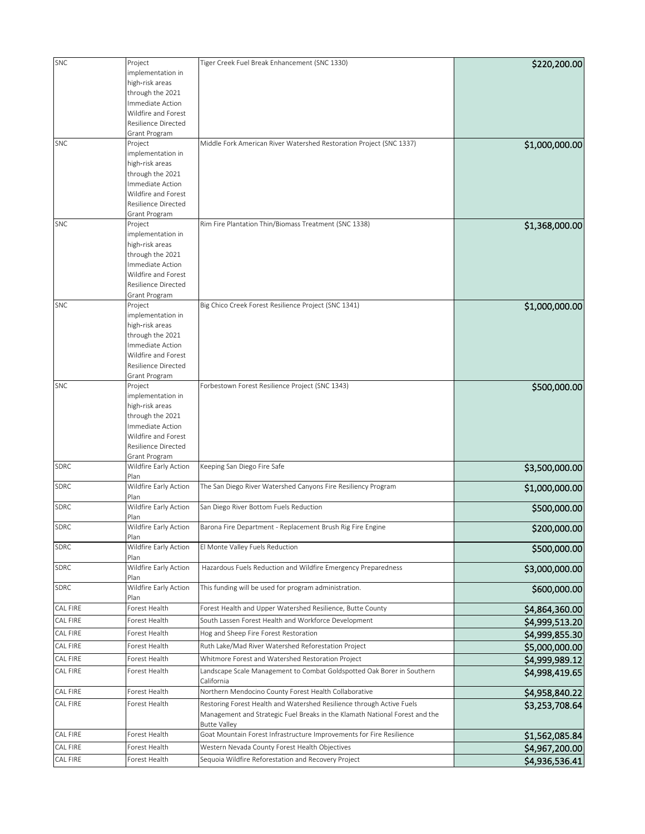| <b>SNC</b>  | Project                              | Tiger Creek Fuel Break Enhancement (SNC 1330)                                        | \$220,200.00   |
|-------------|--------------------------------------|--------------------------------------------------------------------------------------|----------------|
|             | mplementation in                     |                                                                                      |                |
|             | high-risk areas                      |                                                                                      |                |
|             | through the 2021                     |                                                                                      |                |
|             | Immediate Action                     |                                                                                      |                |
|             | Wildfire and Forest                  |                                                                                      |                |
|             | Resilience Directed<br>Grant Program |                                                                                      |                |
| <b>SNC</b>  | Project                              | Middle Fork American River Watershed Restoration Project (SNC 1337)                  | \$1,000,000.00 |
|             | implementation in                    |                                                                                      |                |
|             | high-risk areas                      |                                                                                      |                |
|             | through the 2021                     |                                                                                      |                |
|             | Immediate Action                     |                                                                                      |                |
|             | Wildfire and Forest                  |                                                                                      |                |
|             | Resilience Directed                  |                                                                                      |                |
| <b>SNC</b>  | Grant Program<br>Project             | Rim Fire Plantation Thin/Biomass Treatment (SNC 1338)                                | \$1,368,000.00 |
|             | implementation in                    |                                                                                      |                |
|             | high-risk areas                      |                                                                                      |                |
|             | through the 2021                     |                                                                                      |                |
|             | Immediate Action                     |                                                                                      |                |
|             | Wildfire and Forest                  |                                                                                      |                |
|             | Resilience Directed                  |                                                                                      |                |
|             | Grant Program                        |                                                                                      |                |
| <b>SNC</b>  | Project                              | Big Chico Creek Forest Resilience Project (SNC 1341)                                 | \$1,000,000.00 |
|             | implementation in<br>high-risk areas |                                                                                      |                |
|             | through the 2021                     |                                                                                      |                |
|             | Immediate Action                     |                                                                                      |                |
|             | Wildfire and Forest                  |                                                                                      |                |
|             | Resilience Directed                  |                                                                                      |                |
|             | Grant Program                        |                                                                                      |                |
| <b>SNC</b>  | Project                              | Forbestown Forest Resilience Project (SNC 1343)                                      | \$500,000.00   |
|             | implementation in                    |                                                                                      |                |
|             | high-risk areas                      |                                                                                      |                |
|             | through the 2021<br>Immediate Action |                                                                                      |                |
|             | Wildfire and Forest                  |                                                                                      |                |
|             | Resilience Directed                  |                                                                                      |                |
|             | Grant Program                        |                                                                                      |                |
| SDRC        | Wildfire Early Action                | Keeping San Diego Fire Safe                                                          | \$3,500,000.00 |
|             | Plan                                 |                                                                                      |                |
| SDRC        | Wildfire Early Action<br>Plan        | The San Diego River Watershed Canyons Fire Resiliency Program                        | \$1,000,000.00 |
| SDRC        | Wildfire Early Action                | San Diego River Bottom Fuels Reduction                                               | \$500,000.00   |
|             | Plan                                 |                                                                                      |                |
| SDRC        | Wildfire Early Action<br>Plan        | Barona Fire Department - Replacement Brush Rig Fire Engine                           | \$200,000.00   |
| <b>SDRC</b> | Wildfire Early Action                | El Monte Valley Fuels Reduction                                                      | \$500,000.00   |
|             | Plan                                 |                                                                                      |                |
| <b>SDRC</b> | Wildfire Early Action<br>Plan        | Hazardous Fuels Reduction and Wildfire Emergency Preparedness                        | \$3,000,000.00 |
| <b>SDRC</b> | Wildfire Early Action                | This funding will be used for program administration.                                | \$600,000.00   |
| CAL FIRE    | Plan<br>Forest Health                | Forest Health and Upper Watershed Resilience, Butte County                           | \$4,864,360.00 |
| CAL FIRE    | Forest Health                        | South Lassen Forest Health and Workforce Development                                 | \$4,999,513.20 |
| CAL FIRE    | Forest Health                        | Hog and Sheep Fire Forest Restoration                                                | \$4,999,855.30 |
| CAL FIRE    | Forest Health                        | Ruth Lake/Mad River Watershed Reforestation Project                                  | \$5,000,000.00 |
|             |                                      |                                                                                      |                |
| CAL FIRE    | Forest Health                        | Whitmore Forest and Watershed Restoration Project                                    | \$4,999,989.12 |
| CAL FIRE    | Forest Health                        | Landscape Scale Management to Combat Goldspotted Oak Borer in Southern<br>California | \$4,998,419.65 |
| CAL FIRE    | Forest Health                        | Northern Mendocino County Forest Health Collaborative                                | \$4,958,840.22 |
| CAL FIRE    | Forest Health                        | Restoring Forest Health and Watershed Resilience through Active Fuels                | \$3,253,708.64 |
|             |                                      | Management and Strategic Fuel Breaks in the Klamath National Forest and the          |                |
|             |                                      | <b>Butte Valley</b>                                                                  |                |
| CAL FIRE    | Forest Health                        | Goat Mountain Forest Infrastructure Improvements for Fire Resilience                 | \$1,562,085.84 |
| CAL FIRE    | Forest Health                        | Western Nevada County Forest Health Objectives                                       | \$4,967,200.00 |
| CAL FIRE    | Forest Health                        | Sequoia Wildfire Reforestation and Recovery Project                                  | \$4,936,536.41 |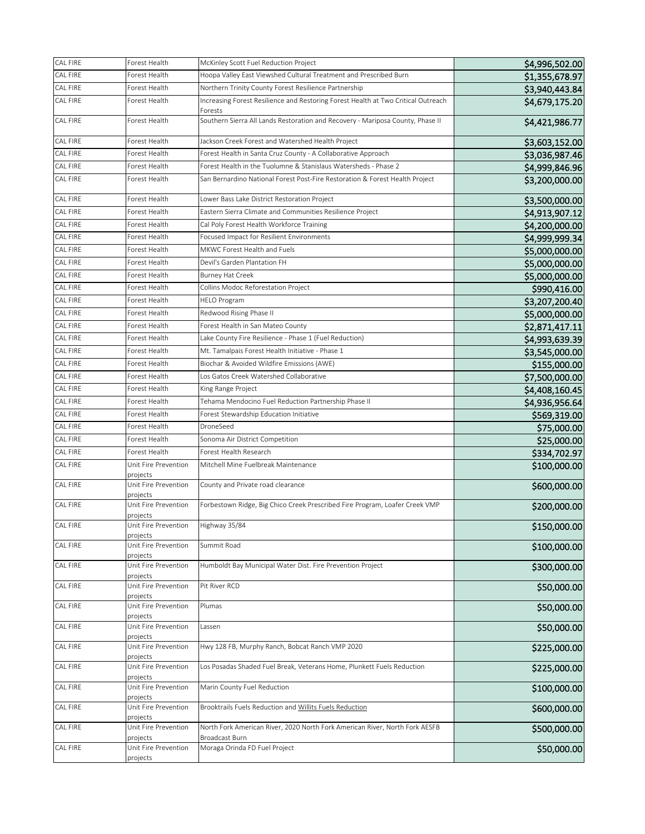| CAL FIRE        | Forest Health                    | McKinley Scott Fuel Reduction Project                                                         | \$4,996,502.00 |
|-----------------|----------------------------------|-----------------------------------------------------------------------------------------------|----------------|
| CAL FIRE        | Forest Health                    | Hoopa Valley East Viewshed Cultural Treatment and Prescribed Burn                             | \$1,355,678.97 |
| CAL FIRE        | Forest Health                    | Northern Trinity County Forest Resilience Partnership                                         | \$3,940,443.84 |
| CAL FIRE        | Forest Health                    | Increasing Forest Resilience and Restoring Forest Health at Two Critical Outreach<br>Forests  | \$4,679,175.20 |
| CAL FIRE        | Forest Health                    | Southern Sierra All Lands Restoration and Recovery - Mariposa County, Phase II                | \$4,421,986.77 |
| CAL FIRE        | Forest Health                    | Jackson Creek Forest and Watershed Health Project                                             | \$3,603,152.00 |
| <b>CAL FIRE</b> | Forest Health                    | Forest Health in Santa Cruz County - A Collaborative Approach                                 | \$3,036,987.46 |
| CAL FIRE        | Forest Health                    | Forest Health in the Tuolumne & Stanislaus Watersheds - Phase 2                               | \$4,999,846.96 |
| CAL FIRE        | Forest Health                    | San Bernardino National Forest Post-Fire Restoration & Forest Health Project                  | \$3,200,000.00 |
| CAL FIRE        | Forest Health                    | Lower Bass Lake District Restoration Project                                                  | \$3,500,000.00 |
| CAL FIRE        | Forest Health                    | Eastern Sierra Climate and Communities Resilience Project                                     | \$4,913,907.12 |
| CAL FIRE        | Forest Health                    | Cal Poly Forest Health Workforce Training                                                     | \$4,200,000.00 |
| CAL FIRE        | Forest Health                    | Focused Impact for Resilient Environments                                                     | \$4,999,999.34 |
| CAL FIRE        | Forest Health                    | MKWC Forest Health and Fuels                                                                  | \$5,000,000.00 |
| CAL FIRE        | Forest Health                    | Devil's Garden Plantation FH                                                                  | \$5,000,000.00 |
| CAL FIRE        | Forest Health                    | <b>Burney Hat Creek</b>                                                                       | \$5,000,000.00 |
| CAL FIRE        | Forest Health                    | Collins Modoc Reforestation Project                                                           | \$990,416.00   |
| CAL FIRE        | Forest Health                    | <b>HELO Program</b>                                                                           | \$3,207,200.40 |
| CAL FIRE        | Forest Health                    | Redwood Rising Phase II                                                                       | \$5,000,000.00 |
| CAL FIRE        | Forest Health                    | Forest Health in San Mateo County                                                             | \$2,871,417.11 |
| CAL FIRE        | Forest Health                    | Lake County Fire Resilience - Phase 1 (Fuel Reduction)                                        | \$4,993,639.39 |
| CAL FIRE        | Forest Health                    | Mt. Tamalpais Forest Health Initiative - Phase 1                                              | \$3,545,000.00 |
| CAL FIRE        | Forest Health                    | Biochar & Avoided Wildfire Emissions (AWE)                                                    | \$155,000.00   |
| CAL FIRE        | Forest Health                    | Los Gatos Creek Watershed Collaborative                                                       | \$7,500,000.00 |
| CAL FIRE        | Forest Health                    | King Range Project                                                                            | \$4,408,160.45 |
| CAL FIRE        | Forest Health                    | Tehama Mendocino Fuel Reduction Partnership Phase II                                          | \$4,936,956.64 |
| CAL FIRE        | Forest Health                    | Forest Stewardship Education Initiative                                                       | \$569,319.00   |
| CAL FIRE        | Forest Health                    | DroneSeed                                                                                     | \$75,000.00    |
| CAL FIRE        | Forest Health                    | Sonoma Air District Competition                                                               | \$25,000.00    |
| CAL FIRE        | Forest Health                    | Forest Health Research                                                                        | \$334,702.97   |
| CAL FIRE        | Unit Fire Prevention             | Mitchell Mine Fuelbreak Maintenance                                                           | \$100,000.00   |
|                 | projects                         |                                                                                               |                |
| CAL FIRE        | Unit Fire Prevention<br>projects | County and Private road clearance                                                             | \$600,000.00   |
| CAL FIRE        | Unit Fire Prevention<br>projects | Forbestown Ridge, Big Chico Creek Prescribed Fire Program, Loafer Creek VMP                   | \$200,000.00   |
| CAL FIRE        | Unit Fire Prevention<br>projects | Highway 35/84                                                                                 | \$150,000.00   |
| CAL FIRE        | Unit Fire Prevention<br>projects | Summit Road                                                                                   | \$100,000.00   |
| CAL FIRE        | Unit Fire Prevention<br>projects | Humboldt Bay Municipal Water Dist. Fire Prevention Project                                    | \$300,000.00   |
| CAL FIRE        | Unit Fire Prevention<br>projects | Pit River RCD                                                                                 | \$50,000.00    |
| CAL FIRE        | Unit Fire Prevention<br>projects | Plumas                                                                                        | \$50,000.00    |
| CAL FIRE        | Unit Fire Prevention<br>projects | Lassen                                                                                        | \$50,000.00    |
| CAL FIRE        | Unit Fire Prevention<br>projects | Hwy 128 FB, Murphy Ranch, Bobcat Ranch VMP 2020                                               | \$225,000.00   |
| CAL FIRE        | Unit Fire Prevention<br>projects | Los Posadas Shaded Fuel Break, Veterans Home, Plunkett Fuels Reduction                        | \$225,000.00   |
| CAL FIRE        | Unit Fire Prevention<br>projects | Marin County Fuel Reduction                                                                   | \$100,000.00   |
| CAL FIRE        | Unit Fire Prevention<br>projects | Brooktrails Fuels Reduction and Willits Fuels Reduction                                       | \$600,000.00   |
| CAL FIRE        | Unit Fire Prevention<br>projects | North Fork American River, 2020 North Fork American River, North Fork AESFB<br>Broadcast Burn | \$500,000.00   |
| CAL FIRE        | Unit Fire Prevention<br>projects | Moraga Orinda FD Fuel Project                                                                 | \$50,000.00    |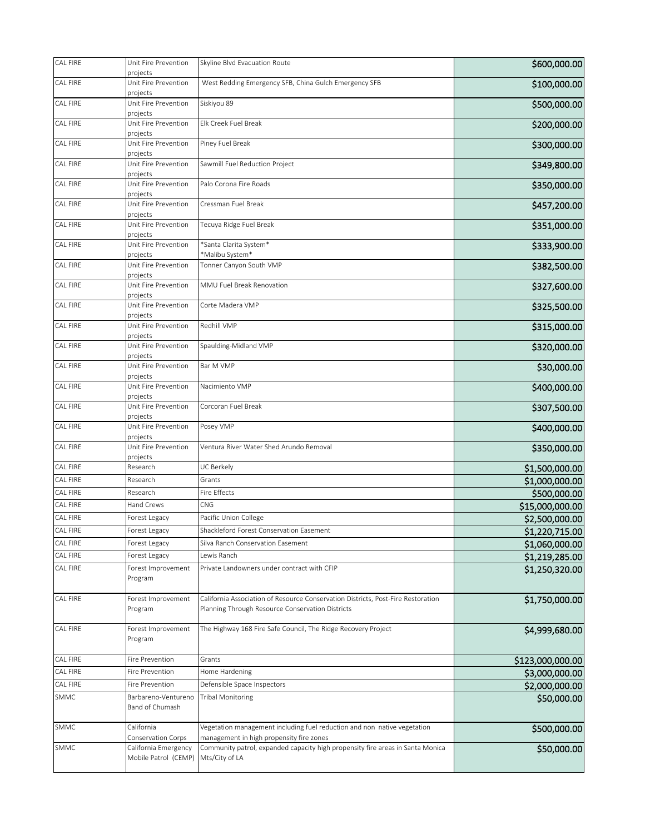| CAL FIRE | Unit Fire Prevention<br>projects                                   | Skyline Blvd Evacuation Route                                                                                                                | \$600,000.00     |
|----------|--------------------------------------------------------------------|----------------------------------------------------------------------------------------------------------------------------------------------|------------------|
| CAL FIRE | Unit Fire Prevention<br>projects                                   | West Redding Emergency SFB, China Gulch Emergency SFB                                                                                        | \$100,000.00     |
| CAL FIRE | Unit Fire Prevention<br>projects                                   | Siskiyou 89                                                                                                                                  | \$500,000.00     |
| CAL FIRE | Unit Fire Prevention<br>projects                                   | Elk Creek Fuel Break                                                                                                                         | \$200,000.00     |
| CAL FIRE | Unit Fire Prevention<br>projects                                   | Piney Fuel Break                                                                                                                             | \$300,000.00     |
| CAL FIRE | Unit Fire Prevention<br>projects                                   | Sawmill Fuel Reduction Project                                                                                                               | \$349,800.00     |
| CAL FIRE | Unit Fire Prevention<br>projects                                   | Palo Corona Fire Roads                                                                                                                       | \$350,000.00     |
| CAL FIRE | Unit Fire Prevention<br>projects                                   | Cressman Fuel Break                                                                                                                          | \$457,200.00     |
| CAL FIRE | Unit Fire Prevention<br>projects                                   | Tecuya Ridge Fuel Break                                                                                                                      | \$351,000.00     |
| CAL FIRE | Unit Fire Prevention<br>projects                                   | *Santa Clarita System*<br>*Malibu System*                                                                                                    | \$333,900.00     |
| CAL FIRE | Unit Fire Prevention<br>projects                                   | Tonner Canyon South VMP                                                                                                                      | \$382,500.00     |
| CAL FIRE | Unit Fire Prevention<br>projects                                   | MMU Fuel Break Renovation                                                                                                                    | \$327,600.00     |
| CAL FIRE | Unit Fire Prevention<br>projects                                   | Corte Madera VMP                                                                                                                             | \$325,500.00     |
| CAL FIRE | Unit Fire Prevention                                               | Redhill VMP                                                                                                                                  | \$315,000.00     |
| CAL FIRE | projects<br>Unit Fire Prevention<br>projects                       | Spaulding-Midland VMP                                                                                                                        | \$320,000.00     |
| CAL FIRE | Unit Fire Prevention                                               | Bar M VMP                                                                                                                                    | \$30,000.00      |
| CAL FIRE | projects<br>Unit Fire Prevention                                   | Nacimiento VMP                                                                                                                               | \$400,000.00     |
| CAL FIRE | projects<br>Unit Fire Prevention                                   | Corcoran Fuel Break                                                                                                                          | \$307,500.00     |
| CAL FIRE | projects<br>Unit Fire Prevention                                   | Posey VMP                                                                                                                                    | \$400,000.00     |
| CAL FIRE | projects<br>Unit Fire Prevention                                   | Ventura River Water Shed Arundo Removal                                                                                                      | \$350,000.00     |
| CAL FIRE | projects<br>Research                                               | UC Berkely                                                                                                                                   | \$1,500,000.00   |
| CAL FIRE | Research                                                           | Grants                                                                                                                                       | \$1,000,000.00   |
| CAL FIRE | Research                                                           | Fire Effects                                                                                                                                 | \$500,000.00     |
| CAL FIRE | Hand Crews                                                         | CNG                                                                                                                                          | \$15,000,000.00  |
| CAL FIRE | Forest Legacy                                                      | Pacific Union College                                                                                                                        | \$2,500,000.00   |
| CAL FIRE | Forest Legacy                                                      | Shackleford Forest Conservation Easement                                                                                                     | \$1,220,715.00   |
| CAL FIRE | Forest Legacy                                                      | Silva Ranch Conservation Easement                                                                                                            | \$1,060,000.00   |
| CAL FIRE | Forest Legacy                                                      | Lewis Ranch                                                                                                                                  | \$1,219,285.00   |
| CAL FIRE | Forest Improvement<br>Program                                      | Private Landowners under contract with CFIP                                                                                                  | \$1,250,320.00   |
| CAL FIRE | Forest Improvement<br>Program                                      | California Association of Resource Conservation Districts, Post-Fire Restoration<br>Planning Through Resource Conservation Districts         | \$1,750,000.00   |
| CAL FIRE | Forest Improvement<br>Program                                      | The Highway 168 Fire Safe Council, The Ridge Recovery Project                                                                                | \$4,999,680.00   |
| CAL FIRE | Fire Prevention                                                    | Grants                                                                                                                                       | \$123,000,000.00 |
| CAL FIRE | Fire Prevention                                                    | Home Hardening                                                                                                                               | \$3,000,000.00   |
| CAL FIRE | Fire Prevention                                                    | Defensible Space Inspectors                                                                                                                  | \$2,000,000.00   |
| SMMC     | Barbareno-Ventureno<br>Band of Chumash                             | <b>Tribal Monitoring</b>                                                                                                                     | \$50,000.00      |
| SMMC     | California                                                         | Vegetation management including fuel reduction and non native vegetation                                                                     | \$500,000.00     |
| SMMC     | Conservation Corps<br>California Emergency<br>Mobile Patrol (CEMP) | management in high propensity fire zones<br>Community patrol, expanded capacity high propensity fire areas in Santa Monica<br>Mts/City of LA | \$50,000.00      |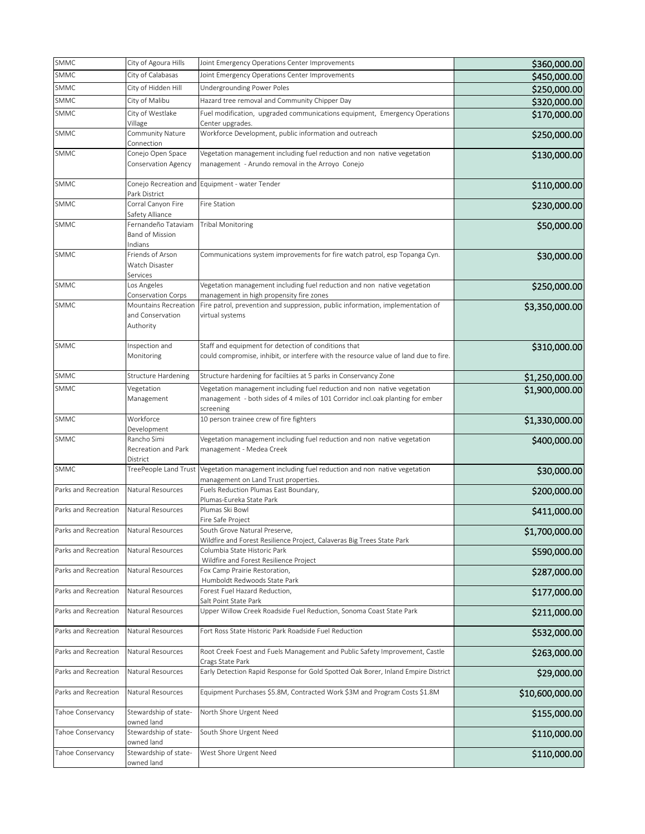| SMMC                 | City of Agoura Hills                                  | Joint Emergency Operations Center Improvements                                                                                                                          | \$360,000.00    |
|----------------------|-------------------------------------------------------|-------------------------------------------------------------------------------------------------------------------------------------------------------------------------|-----------------|
| SMMC                 | City of Calabasas                                     | Joint Emergency Operations Center Improvements                                                                                                                          | \$450,000.00    |
| SMMC                 | City of Hidden Hill                                   | Undergrounding Power Poles                                                                                                                                              | \$250,000.00    |
| SMMC                 | City of Malibu                                        | Hazard tree removal and Community Chipper Day                                                                                                                           | \$320,000.00    |
| SMMC                 | City of Westlake<br>Village                           | Fuel modification, upgraded communications equipment, Emergency Operations<br>Center upgrades.                                                                          | \$170,000.00    |
| SMMC                 | Community Nature<br>Connection                        | Workforce Development, public information and outreach                                                                                                                  | \$250,000.00    |
| SMMC                 | Conejo Open Space<br>Conservation Agency              | Vegetation management including fuel reduction and non native vegetation<br>management - Arundo removal in the Arroyo Conejo                                            | \$130,000.00    |
| SMMC                 | Park District                                         | Conejo Recreation and Equipment - water Tender                                                                                                                          | \$110,000.00    |
| SMMC                 | Corral Canyon Fire<br>Safety Alliance                 | Fire Station                                                                                                                                                            | \$230,000.00    |
| SMMC                 | Fernandeño Tataviam<br>Band of Mission<br>Indians     | <b>Tribal Monitoring</b>                                                                                                                                                | \$50,000.00     |
| SMMC                 | Friends of Arson<br>Watch Disaster<br>Services        | Communications system improvements for fire watch patrol, esp Topanga Cyn.                                                                                              | \$30,000.00     |
| SMMC                 | Los Angeles<br><b>Conservation Corps</b>              | Vegetation management including fuel reduction and non native vegetation<br>management in high propensity fire zones                                                    | \$250,000.00    |
| SMMC                 | Mountains Recreation<br>and Conservation<br>Authority | Fire patrol, prevention and suppression, public information, implementation of<br>virtual systems                                                                       | \$3,350,000.00  |
| SMMC                 | Inspection and<br>Monitoring                          | Staff and equipment for detection of conditions that<br>could compromise, inhibit, or interfere with the resource value of land due to fire.                            | \$310,000.00    |
| SMMC                 | <b>Structure Hardening</b>                            | Structure hardening for faciltiies at 5 parks in Conservancy Zone                                                                                                       | \$1,250,000.00  |
| SMMC                 | Vegetation<br>Management                              | Vegetation management including fuel reduction and non native vegetation<br>management - both sides of 4 miles of 101 Corridor incl.oak planting for ember<br>screening | \$1,900,000.00  |
| SMMC                 | Workforce<br>Development                              | 10 person trainee crew of fire fighters                                                                                                                                 | \$1,330,000.00  |
| SMMC                 | Rancho Simi<br>Recreation and Park<br>District        | Vegetation management including fuel reduction and non native vegetation<br>management - Medea Creek                                                                    | \$400,000.00    |
| SMMC                 | TreePeople Land Trust                                 | Vegetation management including fuel reduction and non native vegetation<br>management on Land Trust properties.                                                        | \$30,000.00     |
| Parks and Recreation | Natural Resources                                     | Fuels Reduction Plumas East Boundary,<br>Plumas-Eureka State Park                                                                                                       | \$200,000.00    |
| Parks and Recreation | Natural Resources                                     | Plumas Ski Bowl<br>Fire Safe Project                                                                                                                                    | \$411,000.00    |
| Parks and Recreation | Natural Resources                                     | South Grove Natural Preserve,<br>Wildfire and Forest Resilience Project, Calaveras Big Trees State Park                                                                 | \$1,700,000.00  |
| Parks and Recreation | Natural Resources                                     | Columbia State Historic Park<br>Wildfire and Forest Resilience Project                                                                                                  | \$590,000.00    |
| Parks and Recreation | Natural Resources                                     | Fox Camp Prairie Restoration,<br>Humboldt Redwoods State Park                                                                                                           | \$287,000.00    |
| Parks and Recreation | Natural Resources                                     | Forest Fuel Hazard Reduction,<br>Salt Point State Park                                                                                                                  | \$177,000.00    |
| Parks and Recreation | Natural Resources                                     | Upper Willow Creek Roadside Fuel Reduction, Sonoma Coast State Park                                                                                                     | \$211,000.00    |
| Parks and Recreation | Natural Resources                                     | Fort Ross State Historic Park Roadside Fuel Reduction                                                                                                                   | \$532,000.00    |
| Parks and Recreation | Natural Resources                                     | Root Creek Foest and Fuels Management and Public Safety Improvement, Castle<br>Crags State Park                                                                         | \$263,000.00    |
| Parks and Recreation | Natural Resources                                     | Early Detection Rapid Response for Gold Spotted Oak Borer, Inland Empire District                                                                                       | \$29,000.00     |
| Parks and Recreation | Natural Resources                                     | Equipment Purchases \$5.8M, Contracted Work \$3M and Program Costs \$1.8M                                                                                               | \$10,600,000.00 |
| Tahoe Conservancy    | Stewardship of state-<br>owned land                   | North Shore Urgent Need                                                                                                                                                 | \$155,000.00    |
| Tahoe Conservancy    | Stewardship of state-<br>owned land                   | South Shore Urgent Need                                                                                                                                                 | \$110,000.00    |
| Tahoe Conservancy    | Stewardship of state-                                 | West Shore Urgent Need                                                                                                                                                  | \$110,000.00    |